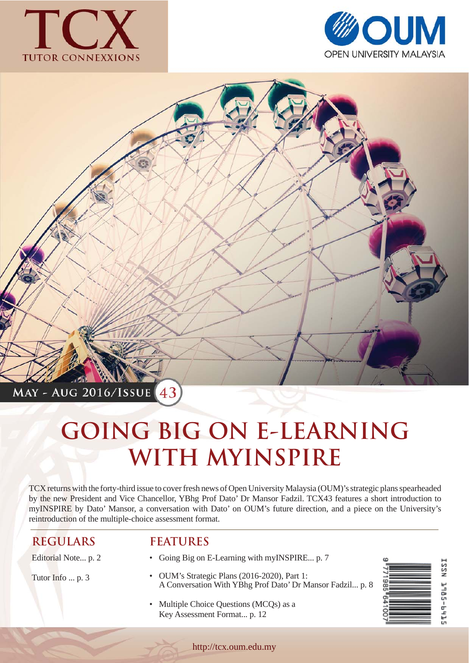





# **GOING BIG ON E-LEARNING WITH MYINSPIRE**

TCX returns with the forty-third issue to cover fresh news of Open University Malaysia (OUM)'s strategic plans spearheaded by the new President and Vice Chancellor, YBhg Prof Dato' Dr Mansor Fadzil. TCX43 features a short introduction to myINSPIRE by Dato' Mansor, a conversation with Dato' on OUM's future direction, and a piece on the University's reintroduction of the multiple-choice assessment format.

#### **REGULARS**

Editorial Note... p. 2

Tutor Info ... p. 3

#### **FEATURES**

- Going Big on E-Learning with myINSPIRE... p. 7
- OUM's Strategic Plans (2016-2020), Part 1: A Conversation With YBhg Prof Dato' Dr Mansor Fadzil... p. 8
- Multiple Choice Questions (MCQs) as a Key Assessment Format... p. 12

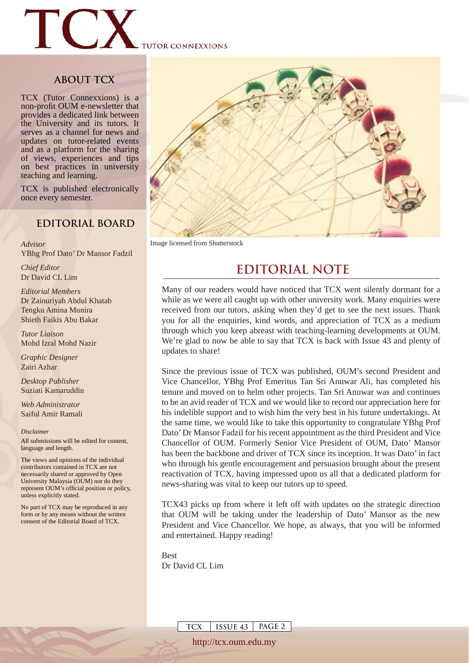

#### **ABOUT TCX**

TCX (Tutor Connexxions) is a non-profit OUM e-newsletter that provides a dedicated link between the University and its tutors. It serves as a channel for news and updates on tutor-related events and as a platform for the sharing of views, experiences and tips on best practices in university teaching and learning.

TCX is published electronically once every semester.

#### **EDITORIAL BOARD**

*Advisor*  YBhg Prof Dato' Dr Mansor Fadzil

*Chief Editor*  Dr David CL Lim

*Editorial Members* Dr Zainuriyah Abdul Khatab Tengku Amina Munira Shieth Faikis Abu Bakar

*Tutor Liaison* Mohd Izral Mohd Nazir

*Graphic Designer*  Zairi Azhar

*Desktop Publisher* Suziati Kamaruddin

*Web Administrator* Saiful Amir Ramali

*Disclaimer*

All submissions will be edited for content, language and length.

The views and opinions of the individual contributors contained in TCX are not necessarily shared or approved by Open University Malaysia (OUM) nor do they represent OUM's official position or policy, unless explicitly stated.

No part of TCX may be reproduced in any form or by any means without the written consent of the Editorial Board of TCX.



Image licensed from Shutterstock

#### **EDITORIAL NOTE**

Many of our readers would have noticed that TCX went silently dormant for a while as we were all caught up with other university work. Many enquiries were received from our tutors, asking when they'd get to see the next issues. Thank you for all the enquiries, kind words, and appreciation of TCX as a medium through which you keep abreast with teaching-learning developments at OUM. We're glad to now be able to say that TCX is back with Issue 43 and plenty of updates to share!

Since the previous issue of TCX was published, OUM's second President and Vice Chancellor, YBhg Prof Emeritus Tan Sri Anuwar Ali, has completed his tenure and moved on to helm other projects. Tan Sri Anuwar was and continues to be an avid reader of TCX and we would like to record our appreciation here for his indelible support and to wish him the very best in his future undertakings. At the same time, we would like to take this opportunity to congratulate YBhg Prof Dato' Dr Mansor Fadzil for his recent appointment as the third President and Vice Chancellor of OUM. Formerly Senior Vice President of OUM, Dato' Mansor has been the backbone and driver of TCX since its inception. It was Dato' in fact who through his gentle encouragement and persuasion brought about the present reactivation of TCX, having impressed upon us all that a dedicated platform for news-sharing was vital to keep our tutors up to speed.

TCX43 picks up from where it left off with updates on the strategic direction that OUM will be taking under the leadership of Dato' Mansor as the new President and Vice Chancellor. We hope, as always, that you will be informed and entertained. Happy reading!

Best Dr David CL Lim

**TCX ISSUE 43 PAGE 2**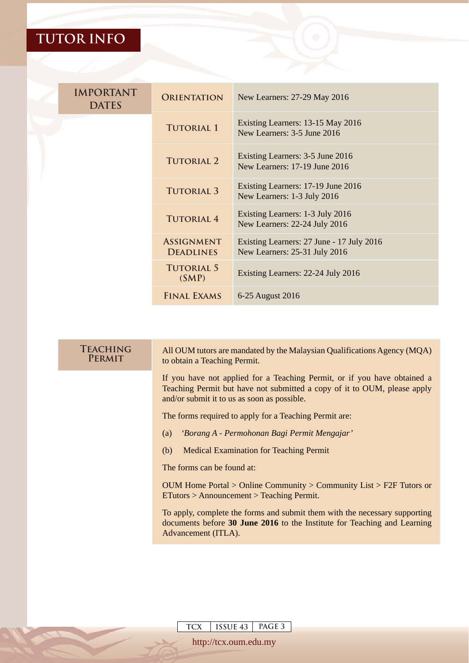| <b>IMPORTANT</b><br><b>DATES</b> | <b>ORIENTATION</b>                    | New Learners: 27-29 May 2016                                               |
|----------------------------------|---------------------------------------|----------------------------------------------------------------------------|
|                                  | <b>TUTORIAL 1</b>                     | Existing Learners: 13-15 May 2016<br>New Learners: 3-5 June 2016           |
|                                  | <b>TUTORIAL 2</b>                     | Existing Learners: 3-5 June 2016<br>New Learners: 17-19 June 2016          |
|                                  | <b>TUTORIAL 3</b>                     | Existing Learners: 17-19 June 2016<br>New Learners: 1-3 July 2016          |
|                                  | <b>TUTORIAL 4</b>                     | Existing Learners: 1-3 July 2016<br>New Learners: 22-24 July 2016          |
|                                  | <b>ASSIGNMENT</b><br><b>DEADLINES</b> | Existing Learners: 27 June - 17 July 2016<br>New Learners: 25-31 July 2016 |
|                                  | <b>TUTORIAL 5</b><br>(SMP)            | Existing Learners: 22-24 July 2016                                         |
|                                  | <b>FINAL EXAMS</b>                    | 6-25 August 2016                                                           |

| <b>TEACHING</b><br><b>PERMIT</b> | All OUM tutors are mandated by the Malaysian Qualifications Agency (MQA)<br>to obtain a Teaching Permit.                                                                                            |  |  |  |
|----------------------------------|-----------------------------------------------------------------------------------------------------------------------------------------------------------------------------------------------------|--|--|--|
|                                  | If you have not applied for a Teaching Permit, or if you have obtained a<br>Teaching Permit but have not submitted a copy of it to OUM, please apply<br>and/or submit it to us as soon as possible. |  |  |  |
|                                  | The forms required to apply for a Teaching Permit are:                                                                                                                                              |  |  |  |
|                                  | 'Borang A - Permohonan Bagi Permit Mengajar'<br>(a)                                                                                                                                                 |  |  |  |
|                                  | <b>Medical Examination for Teaching Permit</b><br>(b)                                                                                                                                               |  |  |  |
|                                  | The forms can be found at:                                                                                                                                                                          |  |  |  |
|                                  | OUM Home Portal > Online Community > Community List > F2F Tutors or<br>$ETutors > Announcement > Teaching Permit.$                                                                                  |  |  |  |
|                                  | To apply, complete the forms and submit them with the necessary supporting<br>documents before 30 June 2016 to the Institute for Teaching and Learning<br>Advancement (ITLA).                       |  |  |  |
|                                  |                                                                                                                                                                                                     |  |  |  |
|                                  |                                                                                                                                                                                                     |  |  |  |

**TCX ISSUE 43 PAGE 3**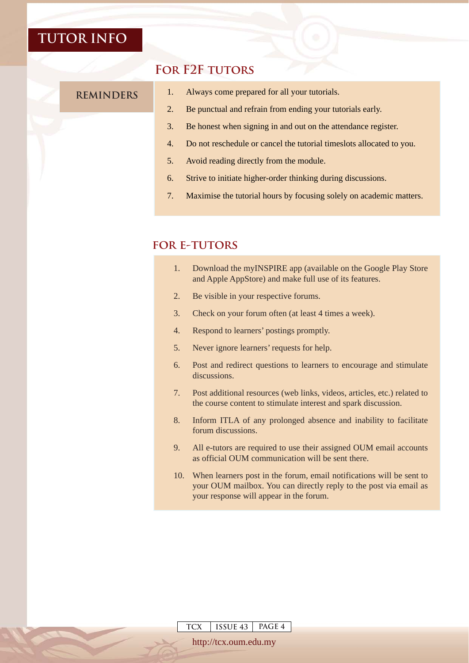#### **For F2F tutors**

- **REMINDERS** 1. Always come prepared for all your tutorials.
	- 2. Be punctual and refrain from ending your tutorials early.
	- 3. Be honest when signing in and out on the attendance register.
	- 4. Do not reschedule or cancel the tutorial timeslots allocated to you.
	- 5. Avoid reading directly from the module.
	- 6. Strive to initiate higher-order thinking during discussions.
	- 7. Maximise the tutorial hours by focusing solely on academic matters.

#### **for e-tutors**

- 1. Download the myINSPIRE app (available on the Google Play Store and Apple AppStore) and make full use of its features.
- 2. Be visible in your respective forums.
- 3. Check on your forum often (at least 4 times a week).
- 4. Respond to learners' postings promptly.
- 5. Never ignore learners' requests for help.
- 6. Post and redirect questions to learners to encourage and stimulate discussions.
- 7. Post additional resources (web links, videos, articles, etc.) related to the course content to stimulate interest and spark discussion.
- 8. Inform ITLA of any prolonged absence and inability to facilitate forum discussions.
- 9. All e-tutors are required to use their assigned OUM email accounts as official OUM communication will be sent there.
- 10. When learners post in the forum, email notifications will be sent to your OUM mailbox. You can directly reply to the post via email as your response will appear in the forum.

**TCX ISSUE 43 PAGE 4**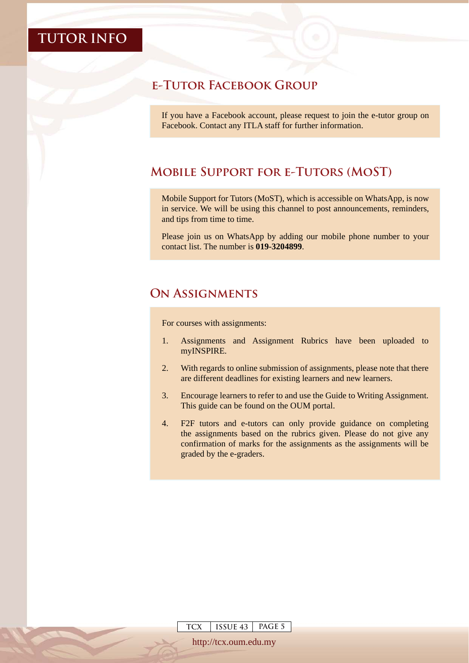#### **e-Tutor Facebook Group**

If you have a Facebook account, please request to join the e-tutor group on Facebook. Contact any ITLA staff for further information.

#### **Mobile Support for e-Tutors (MoST)**

Mobile Support for Tutors (MoST), which is accessible on WhatsApp, is now in service. We will be using this channel to post announcements, reminders, and tips from time to time.

Please join us on WhatsApp by adding our mobile phone number to your contact list. The number is **019-3204899**.

#### **On Assignments**

For courses with assignments:

- 1. Assignments and Assignment Rubrics have been uploaded to myINSPIRE.
- 2. With regards to online submission of assignments, please note that there are different deadlines for existing learners and new learners.
- 3. Encourage learners to refer to and use the Guide to Writing Assignment. This guide can be found on the OUM portal.
- 4. F2F tutors and e-tutors can only provide guidance on completing the assignments based on the rubrics given. Please do not give any confirmation of marks for the assignments as the assignments will be graded by the e-graders.

**TCX ISSUE 43 PAGE 5**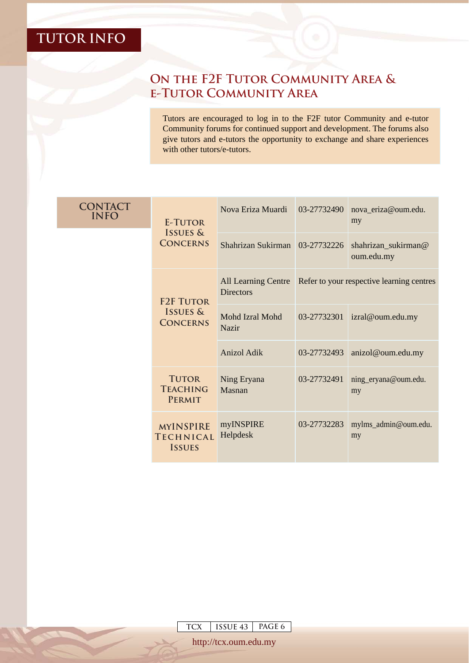#### **On the F2F Tutor Community Area & e-Tutor Community Area**

Tutors are encouraged to log in to the F2F tutor Community and e-tutor Community forums for continued support and development. The forums also give tutors and e-tutors the opportunity to exchange and share experiences with other tutors/e-tutors.

|  | <b>CONTACT</b><br><b>INFO</b> | E-TUTOR<br><b>ISSUES &amp;</b><br><b>CONCERNS</b>     | Nova Eriza Muardi                       | 03-27732490                               | nova_eriza@oum.edu.<br>my         |
|--|-------------------------------|-------------------------------------------------------|-----------------------------------------|-------------------------------------------|-----------------------------------|
|  |                               |                                                       | Shahrizan Sukirman 03-27732226          |                                           | shahrizan_sukirman@<br>oum.edu.my |
|  |                               | <b>F2F TUTOR</b>                                      | All Learning Centre<br><b>Directors</b> | Refer to your respective learning centres |                                   |
|  |                               | <b>ISSUES &amp;</b><br><b>CONCERNS</b>                | Mohd Izral Mohd<br><b>Nazir</b>         | 03-27732301                               | izral@oum.edu.my                  |
|  |                               |                                                       | Anizol Adik                             | 03-27732493                               | anizol@oum.edu.my                 |
|  |                               | <b>TUTOR</b><br><b>TEACHING</b><br><b>PERMIT</b>      | Ning Eryana<br>Masnan                   | 03-27732491                               | ning_eryana@oum.edu.<br>my        |
|  |                               | <b>MYINSPIRE</b><br><b>TECHNICAL</b><br><b>ISSUES</b> | myINSPIRE<br>Helpdesk                   | 03-27732283                               | mylms_admin@oum.edu.<br>my        |

**TCX ISSUE 43 PAGE 6**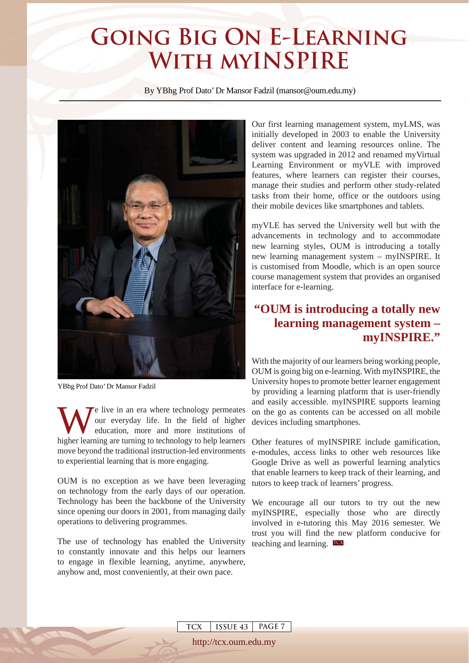### **Going Big On E-Learning With myINSPIRE**

By YBhg Prof Dato' Dr Mansor Fadzil (mansor@oum.edu.my)



YBhg Prof Dato' Dr Mansor Fadzil

We live in an era where technology permeates<br>our everyday life. In the field of higher<br>education, more and more institutions of<br>higher learning are turning to technology to belp learners our everyday life. In the field of higher education, more and more institutions of higher learning are turning to technology to help learners move beyond the traditional instruction-led environments to experiential learning that is more engaging.

OUM is no exception as we have been leveraging on technology from the early days of our operation. Technology has been the backbone of the University since opening our doors in 2001, from managing daily operations to delivering programmes.

The use of technology has enabled the University teaching and learning. TCX to constantly innovate and this helps our learners to engage in flexible learning, anytime, anywhere, anyhow and, most conveniently, at their own pace.

> **TCX ISSUE 43 PAGE 7** http://tcx.oum.edu.my

Our first learning management system, myLMS, was initially developed in 2003 to enable the University deliver content and learning resources online. The system was upgraded in 2012 and renamed myVirtual Learning Environment or myVLE with improved features, where learners can register their courses, manage their studies and perform other study-related tasks from their home, office or the outdoors using their mobile devices like smartphones and tablets.

myVLE has served the University well but with the advancements in technology and to accommodate new learning styles, OUM is introducing a totally new learning management system – myINSPIRE. It is customised from Moodle, which is an open source course management system that provides an organised interface for e-learning.

#### **"OUM is introducing a totally new learning management system – myINSPIRE."**

With the majority of our learners being working people, OUM is going big on e-learning. With myINSPIRE, the University hopes to promote better learner engagement by providing a learning platform that is user-friendly and easily accessible. myINSPIRE supports learning on the go as contents can be accessed on all mobile devices including smartphones.

Other features of myINSPIRE include gamification, e-modules, access links to other web resources like Google Drive as well as powerful learning analytics that enable learners to keep track of their learning, and tutors to keep track of learners' progress.

We encourage all our tutors to try out the new myINSPIRE, especially those who are directly involved in e-tutoring this May 2016 semester. We trust you will find the new platform conducive for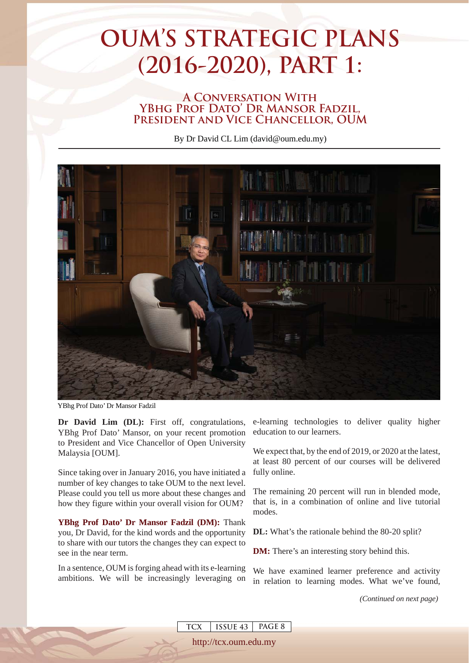# **OUM'S STRATEGIC PLANS (2016-2020), PART 1:**

#### **A Conversation With**  YBHG PROF DATO' DR MANSOR FADZIL. **President and Vice Chancellor, OUM**

By Dr David CL Lim (david@oum.edu.my)



**TCX ISSUE 43 PAGE 8** http://tcx.oum.edu.my

YBhg Prof Dato' Dr Mansor Fadzil

**Dr David Lim (DL):** First off, congratulations, YBhg Prof Dato' Mansor, on your recent promotion to President and Vice Chancellor of Open University Malaysia [OUM].

Since taking over in January 2016, you have initiated a number of key changes to take OUM to the next level. Please could you tell us more about these changes and how they figure within your overall vision for OUM?

**YBhg Prof Dato' Dr Mansor Fadzil (DM):** Thank you, Dr David, for the kind words and the opportunity to share with our tutors the changes they can expect to see in the near term.

In a sentence, OUM is forging ahead with its e-learning ambitions. We will be increasingly leveraging on e-learning technologies to deliver quality higher education to our learners.

We expect that, by the end of 2019, or 2020 at the latest, at least 80 percent of our courses will be delivered fully online.

The remaining 20 percent will run in blended mode, that is, in a combination of online and live tutorial modes.

**DL:** What's the rationale behind the 80-20 split?

**DM:** There's an interesting story behind this.

We have examined learner preference and activity in relation to learning modes. What we've found,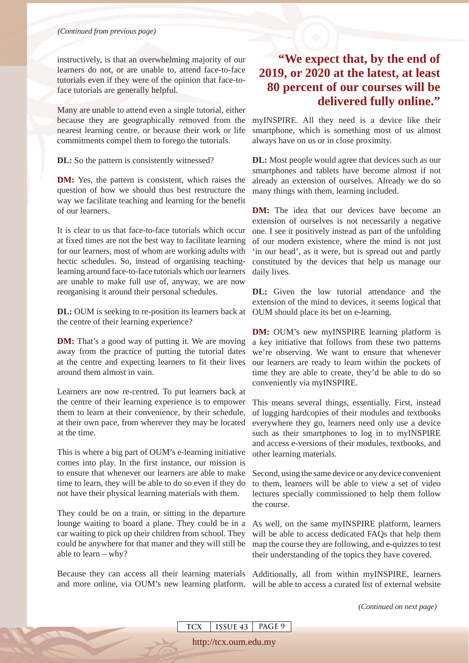instructively, is that an overwhelming majority of our learners do not, or are unable to, attend face-to-face tutorials even if they were of the opinion that face-toface tutorials are generally helpful.

Many are unable to attend even a single tutorial, either because they are geographically removed from the nearest learning centre, or because their work or life commitments compel them to forego the tutorials.

**DL:** So the pattern is consistently witnessed?

**DM:** Yes, the pattern is consistent, which raises the question of how we should thus best restructure the way we facilitate teaching and learning for the benefit of our learners.

It is clear to us that face-to-face tutorials which occur at fixed times are not the best way to facilitate learning for our learners, most of whom are working adults with hectic schedules. So, instead of organising teachinglearning around face-to-face tutorials which our learners are unable to make full use of, anyway, we are now reorganising it around their personal schedules.

**DL:** OUM is seeking to re-position its learners back at the centre of their learning experience?

**DM:** That's a good way of putting it. We are moving away from the practice of putting the tutorial dates at the centre and expecting learners to fit their lives around them almost in vain.

Learners are now re-centred. To put learners back at the centre of their learning experience is to empower them to learn at their convenience, by their schedule, at their own pace, from wherever they may be located at the time.

This is where a big part of OUM's e-learning initiative comes into play. In the first instance, our mission is to ensure that whenever our learners are able to make time to learn, they will be able to do so even if they do not have their physical learning materials with them.

They could be on a train, or sitting in the departure lounge waiting to board a plane. They could be in a car waiting to pick up their children from school. They could be anywhere for that matter and they will still be able to learn – why?

#### **"We expect that, by the end of 2019, or 2020 at the latest, at least 80 percent of our courses will be delivered fully online."**

myINSPIRE. All they need is a device like their smartphone, which is something most of us almost always have on us or in close proximity.

**DL:** Most people would agree that devices such as our smartphones and tablets have become almost if not already an extension of ourselves. Already we do so many things with them, learning included.

**DM:** The idea that our devices have become an extension of ourselves is not necessarily a negative one. I see it positively instead as part of the unfolding of our modern existence, where the mind is not just 'in our head', as it were, but is spread out and partly constituted by the devices that help us manage our daily lives.

**DL:** Given the low tutorial attendance and the extension of the mind to devices, it seems logical that OUM should place its bet on e-learning.

**DM:** OUM's new myINSPIRE learning platform is a key initiative that follows from these two patterns we're observing. We want to ensure that whenever our learners are ready to learn within the pockets of time they are able to create, they'd be able to do so conveniently via myINSPIRE.

This means several things, essentially. First, instead of lugging hardcopies of their modules and textbooks everywhere they go, learners need only use a device such as their smartphones to log in to myINSPIRE and access e-versions of their modules, textbooks, and other learning materials.

Second, using the same device or any device convenient to them, learners will be able to view a set of video lectures specially commissioned to help them follow the course.

As well, on the same myINSPIRE platform, learners will be able to access dedicated FAQs that help them map the course they are following, and e-quizzes to test their understanding of the topics they have covered.

Because they can access all their learning materials Additionally, all from within myINSPIRE, learners and more online, via OUM's new learning platform, will be able to access a curated list of external website

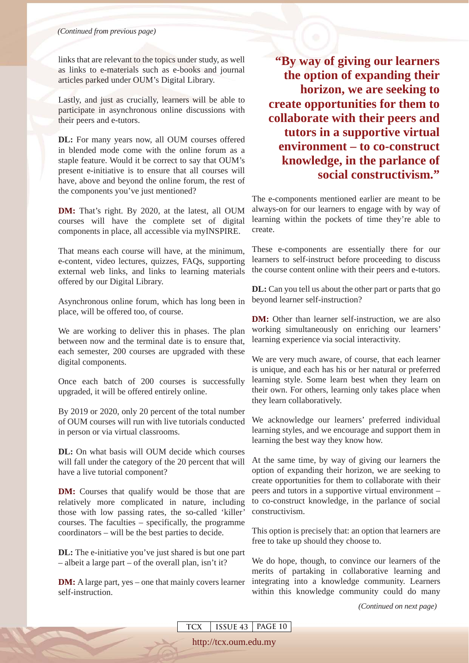links that are relevant to the topics under study, as well as links to e-materials such as e-books and journal articles parked under OUM's Digital Library.

Lastly, and just as crucially, learners will be able to participate in asynchronous online discussions with their peers and e-tutors.

**DL:** For many years now, all OUM courses offered in blended mode come with the online forum as a staple feature. Would it be correct to say that OUM's present e-initiative is to ensure that all courses will have, above and beyond the online forum, the rest of the components you've just mentioned?

**DM:** That's right. By 2020, at the latest, all OUM courses will have the complete set of digital components in place, all accessible via myINSPIRE.

That means each course will have, at the minimum, e-content, video lectures, quizzes, FAQs, supporting external web links, and links to learning materials offered by our Digital Library.

Asynchronous online forum, which has long been in place, will be offered too, of course.

We are working to deliver this in phases. The plan between now and the terminal date is to ensure that, each semester, 200 courses are upgraded with these digital components.

Once each batch of 200 courses is successfully upgraded, it will be offered entirely online.

By 2019 or 2020, only 20 percent of the total number of OUM courses will run with live tutorials conducted in person or via virtual classrooms.

**DL:** On what basis will OUM decide which courses will fall under the category of the 20 percent that will have a live tutorial component?

**DM:** Courses that qualify would be those that are relatively more complicated in nature, including those with low passing rates, the so-called 'killer' courses. The faculties – specifically, the programme coordinators – will be the best parties to decide.

**DL:** The e-initiative you've just shared is but one part – albeit a large part – of the overall plan, isn't it?

**DM:** A large part, yes – one that mainly covers learner self-instruction.

**"By way of giving our learners the option of expanding their horizon, we are seeking to create opportunities for them to collaborate with their peers and tutors in a supportive virtual environment – to co-construct knowledge, in the parlance of social constructivism."**

The e-components mentioned earlier are meant to be always-on for our learners to engage with by way of learning within the pockets of time they're able to create.

These e-components are essentially there for our learners to self-instruct before proceeding to discuss the course content online with their peers and e-tutors.

**DL:** Can you tell us about the other part or parts that go beyond learner self-instruction?

**DM:** Other than learner self-instruction, we are also working simultaneously on enriching our learners' learning experience via social interactivity.

We are very much aware, of course, that each learner is unique, and each has his or her natural or preferred learning style. Some learn best when they learn on their own. For others, learning only takes place when they learn collaboratively.

We acknowledge our learners' preferred individual learning styles, and we encourage and support them in learning the best way they know how.

At the same time, by way of giving our learners the option of expanding their horizon, we are seeking to create opportunities for them to collaborate with their peers and tutors in a supportive virtual environment – to co-construct knowledge, in the parlance of social constructivism.

This option is precisely that: an option that learners are free to take up should they choose to.

We do hope, though, to convince our learners of the merits of partaking in collaborative learning and integrating into a knowledge community. Learners within this knowledge community could do many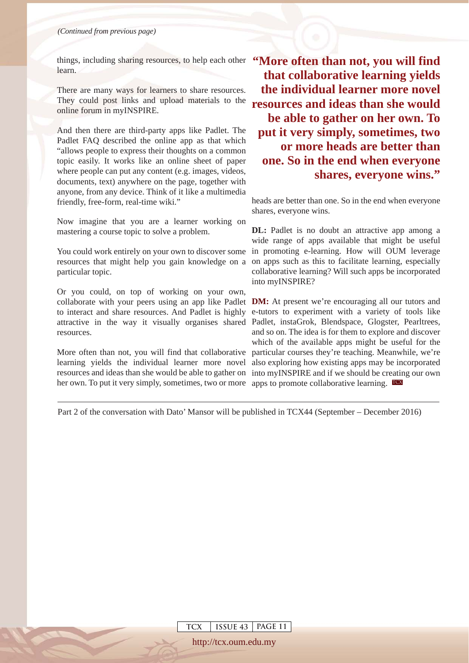things, including sharing resources, to help each other "More often than not, you will find learn.

There are many ways for learners to share resources. They could post links and upload materials to the online forum in myINSPIRE.

And then there are third-party apps like Padlet. The Padlet FAQ described the online app as that which "allows people to express their thoughts on a common topic easily. It works like an online sheet of paper where people can put any content (e.g. images, videos, documents, text) anywhere on the page, together with anyone, from any device. Think of it like a multimedia friendly, free-form, real-time wiki."

Now imagine that you are a learner working on mastering a course topic to solve a problem.

You could work entirely on your own to discover some resources that might help you gain knowledge on a particular topic.

Or you could, on top of working on your own, collaborate with your peers using an app like Padlet **DM:** At present we're encouraging all our tutors and to interact and share resources. And Padlet is highly e-tutors to experiment with a variety of tools like attractive in the way it visually organises shared Padlet, instaGrok, Blendspace, Glogster, Pearltrees, resources.

her own. To put it very simply, sometimes, two or more apps to promote collaborative learning. To

**that collaborative learning yields the individual learner more novel resources and ideas than she would be able to gather on her own. To put it very simply, sometimes, two or more heads are better than one. So in the end when everyone shares, everyone wins."** 

heads are better than one. So in the end when everyone shares, everyone wins.

**DL:** Padlet is no doubt an attractive app among a wide range of apps available that might be useful in promoting e-learning. How will OUM leverage on apps such as this to facilitate learning, especially collaborative learning? Will such apps be incorporated into myINSPIRE?

More often than not, you will find that collaborative particular courses they're teaching. Meanwhile, we're learning yields the individual learner more novel also exploring how existing apps may be incorporated resources and ideas than she would be able to gather on into myINSPIRE and if we should be creating our own and so on. The idea is for them to explore and discover which of the available apps might be useful for the

Part 2 of the conversation with Dato' Mansor will be published in TCX44 (September – December 2016)

**TCX ISSUE 43 PAGE 11**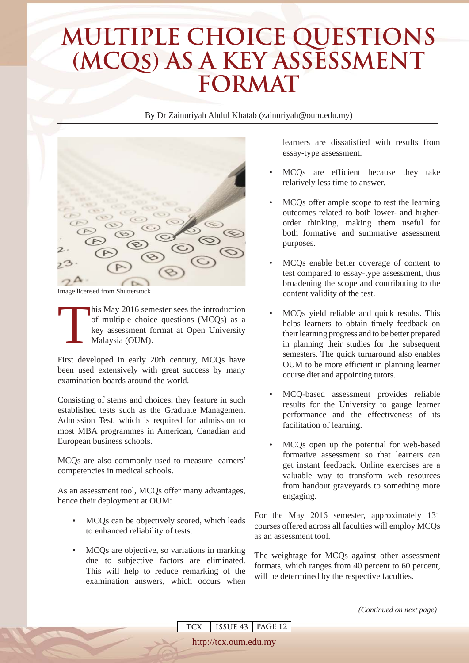## **MULTIPLE CHOICE QUESTIONS (MCQs) AS A KEY ASSESSMENT FORMAT**

By Dr Zainuriyah Abdul Khatab (zainuriyah@oum.edu.my)



Image licensed from Shutterstock

his May 2016 semester sees the introduction<br>of multiple choice questions (MCQs) as a<br>key assessment format at Open University<br>Malaysia (OUM). of multiple choice questions (MCQs) as a key assessment format at Open University Malaysia (OUM).

First developed in early 20th century, MCQs have been used extensively with great success by many examination boards around the world.

Consisting of stems and choices, they feature in such established tests such as the Graduate Management Admission Test, which is required for admission to most MBA programmes in American, Canadian and European business schools.

MCQs are also commonly used to measure learners' competencies in medical schools.

As an assessment tool, MCQs offer many advantages, hence their deployment at OUM:

- MCQs can be objectively scored, which leads to enhanced reliability of tests.
- MCOs are objective, so variations in marking due to subjective factors are eliminated. This will help to reduce remarking of the examination answers, which occurs when

**TCX ISSUE 43 PAGE 12**

http://tcx.oum.edu.my

learners are dissatisfied with results from essay-type assessment.

- MCQs are efficient because they take relatively less time to answer.
- MCQs offer ample scope to test the learning outcomes related to both lower- and higherorder thinking, making them useful for both formative and summative assessment purposes.
- MCQs enable better coverage of content to test compared to essay-type assessment, thus broadening the scope and contributing to the content validity of the test.
- MCQs yield reliable and quick results. This helps learners to obtain timely feedback on their learning progress and to be better prepared in planning their studies for the subsequent semesters. The quick turnaround also enables OUM to be more efficient in planning learner course diet and appointing tutors.
- MCQ-based assessment provides reliable results for the University to gauge learner performance and the effectiveness of its facilitation of learning.
- MCQs open up the potential for web-based formative assessment so that learners can get instant feedback. Online exercises are a valuable way to transform web resources from handout graveyards to something more engaging.

For the May 2016 semester, approximately 131 courses offered across all faculties will employ MCQs as an assessment tool.

The weightage for MCQs against other assessment formats, which ranges from 40 percent to 60 percent, will be determined by the respective faculties.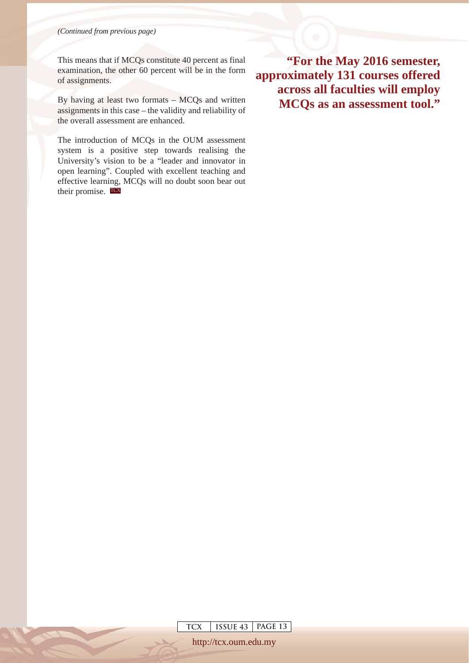*(Continued from previous page)*

This means that if MCQs constitute 40 percent as final examination, the other 60 percent will be in the form of assignments.

By having at least two formats – MCQs and written assignments in this case – the validity and reliability of the overall assessment are enhanced.

The introduction of MCQs in the OUM assessment system is a positive step towards realising the University's vision to be a "leader and innovator in open learning". Coupled with excellent teaching and effective learning, MCQs will no doubt soon bear out their promise. TCX

**"For the May 2016 semester, approximately 131 courses offered across all faculties will employ MCQs as an assessment tool."**

**TCX ISSUE 43 PAGE 13**